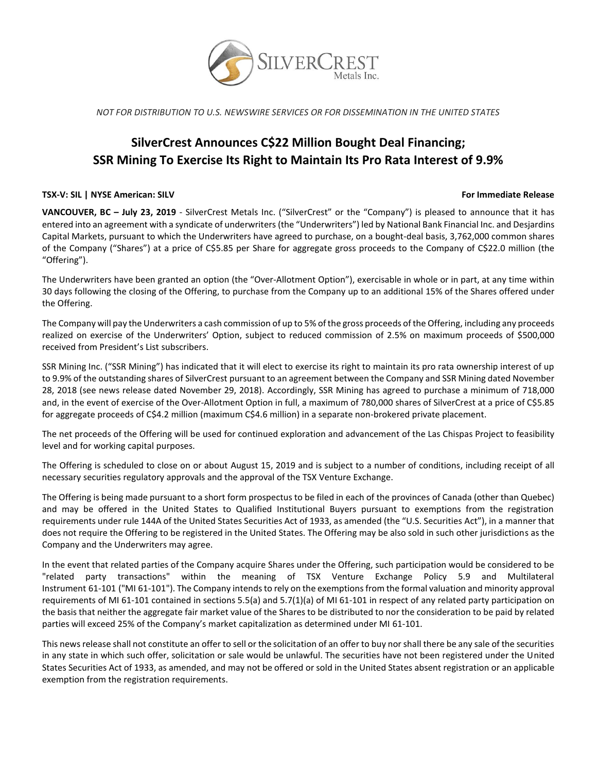

*NOT FOR DISTRIBUTION TO U.S. NEWSWIRE SERVICES OR FOR DISSEMINATION IN THE UNITED STATES*

# **SilverCrest Announces C\$22 Million Bought Deal Financing; SSR Mining To Exercise Its Right to Maintain Its Pro Rata Interest of 9.9%**

## **TSX-V: SIL | NYSE American: SILV For Immediate Release**

**VANCOUVER, BC – July 23, 2019** - SilverCrest Metals Inc. ("SilverCrest" or the "Company") is pleased to announce that it has entered into an agreement with a syndicate of underwriters (the "Underwriters") led by National Bank Financial Inc. and Desjardins Capital Markets, pursuant to which the Underwriters have agreed to purchase, on a bought-deal basis, 3,762,000 common shares of the Company ("Shares") at a price of C\$5.85 per Share for aggregate gross proceeds to the Company of C\$22.0 million (the "Offering").

The Underwriters have been granted an option (the "Over-Allotment Option"), exercisable in whole or in part, at any time within 30 days following the closing of the Offering, to purchase from the Company up to an additional 15% of the Shares offered under the Offering.

The Company will pay the Underwriters a cash commission of up to 5% of the gross proceeds of the Offering, including any proceeds realized on exercise of the Underwriters' Option, subject to reduced commission of 2.5% on maximum proceeds of \$500,000 received from President's List subscribers.

SSR Mining Inc. ("SSR Mining") has indicated that it will elect to exercise its right to maintain its pro rata ownership interest of up to 9.9% of the outstanding shares of SilverCrest pursuant to an agreement between the Company and SSR Mining dated November 28, 2018 (see news release dated November 29, 2018). Accordingly, SSR Mining has agreed to purchase a minimum of 718,000 and, in the event of exercise of the Over-Allotment Option in full, a maximum of 780,000 shares of SilverCrest at a price of C\$5.85 for aggregate proceeds of C\$4.2 million (maximum C\$4.6 million) in a separate non-brokered private placement.

The net proceeds of the Offering will be used for continued exploration and advancement of the Las Chispas Project to feasibility level and for working capital purposes.

The Offering is scheduled to close on or about August 15, 2019 and is subject to a number of conditions, including receipt of all necessary securities regulatory approvals and the approval of the TSX Venture Exchange.

The Offering is being made pursuant to a short form prospectus to be filed in each of the provinces of Canada (other than Quebec) and may be offered in the United States to Qualified Institutional Buyers pursuant to exemptions from the registration requirements under rule 144A of the United States Securities Act of 1933, as amended (the "U.S. Securities Act"), in a manner that does not require the Offering to be registered in the United States. The Offering may be also sold in such other jurisdictions as the Company and the Underwriters may agree.

In the event that related parties of the Company acquire Shares under the Offering, such participation would be considered to be "related party transactions" within the meaning of TSX Venture Exchange Policy 5.9 and Multilateral Instrument 61-101 ("MI 61-101"). The Company intends to rely on the exemptions from the formal valuation and minority approval requirements of MI 61-101 contained in sections 5.5(a) and 5.7(1)(a) of MI 61-101 in respect of any related party participation on the basis that neither the aggregate fair market value of the Shares to be distributed to nor the consideration to be paid by related parties will exceed 25% of the Company's market capitalization as determined under MI 61-101.

This news release shall not constitute an offer to sell or the solicitation of an offer to buy nor shall there be any sale of the securities in any state in which such offer, solicitation or sale would be unlawful. The securities have not been registered under the United States Securities Act of 1933, as amended, and may not be offered or sold in the United States absent registration or an applicable exemption from the registration requirements.